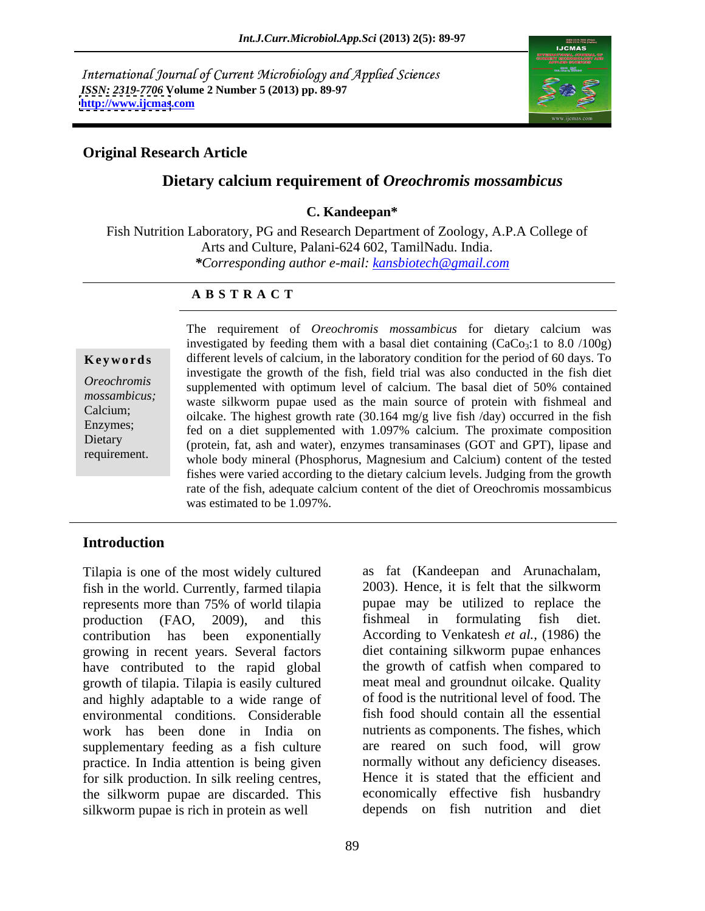International Journal of Current Microbiology and Applied Sciences *ISSN: 2319-7706* **Volume 2 Number 5 (2013) pp. 89-97 <http://www.ijcmas>.com**



### **Original Research Article**

## **Dietary calcium requirement of** *Oreochromis mossambicus*

### **C. Kandeepan\***

Fish Nutrition Laboratory, PG and Research Department of Zoology, A.P.A College of Arts and Culture, Palani-624 602, TamilNadu. India. *\*Corresponding author e-mail: kansbiotech@gmail.com*

### **A B S T R A C T**

**Keywords** different levels of calcium, in the laboratory condition for the period of 60 days. To *Oreochromis*  supplemented with optimum level of calcium.The basal diet of 50% contained mossambicus;<br>waste silkworm pupae used as the main source of protein with fishmeal and Calcium;<br>
oilcake. The highest growth rate (30.164 mg/g live fish /day) occurred in the fish Enzymes;<br>
fed on a diet supplemented with 1.097% calcium. The proximate composition Dietary (protein, fat, ash and water), enzymes transaminases (GOT and GPT), lipase and requirement.<br>whole body mineral (Phosphorus, Magnesium and Calcium) content of the tested The requirement of *Oreochromis mossambicus* for dietary calcium was investigated by feeding them with a basal diet containing  $(CaCo<sub>3</sub>:1$  to 8.0 /100g) investigate the growth of the fish, field trial was also conducted in the fish diet fishes were varied according to the dietary calcium levels. Judging from the growth rate of the fish, adequate calcium content of the diet of Oreochromis mossambicus was estimated to be 1.097%.

### **Introduction**

Tilapia is one of the most widely cultured fish in the world. Currently, farmed tilapia represents more than 75% of world tilapia production (FAO, 2009), and this fishmeal in formulating fish diet. contribution has been exponentially According to Venkatesh *et al.,* (1986) the growing in recent years. Several factors have contributed to the rapid global growth of tilapia. Tilapia is easily cultured and highly adaptable to a wide range of environmental conditions. Considerable work has been done in India on nutrients as components. The fishes, which supplementary feeding as a fish culture practice. In India attention is being given for silk production. In silk reeling centres, the silkworm pupae are discarded. This silkworm pupae is rich in protein as well

as fat (Kandeepan and Arunachalam, 2003). Hence, it is felt that the silkworm pupae may be utilized to replace the diet containing silkworm pupae enhances the growth of catfish when compared to meat meal and groundnut oilcake. Quality of food is the nutritional level of food. The fish food should contain all the essential are reared on such food, will grow normally without any deficiency diseases. Hence it is stated that the efficient and economically effective fish husbandry depends on fish nutrition and diet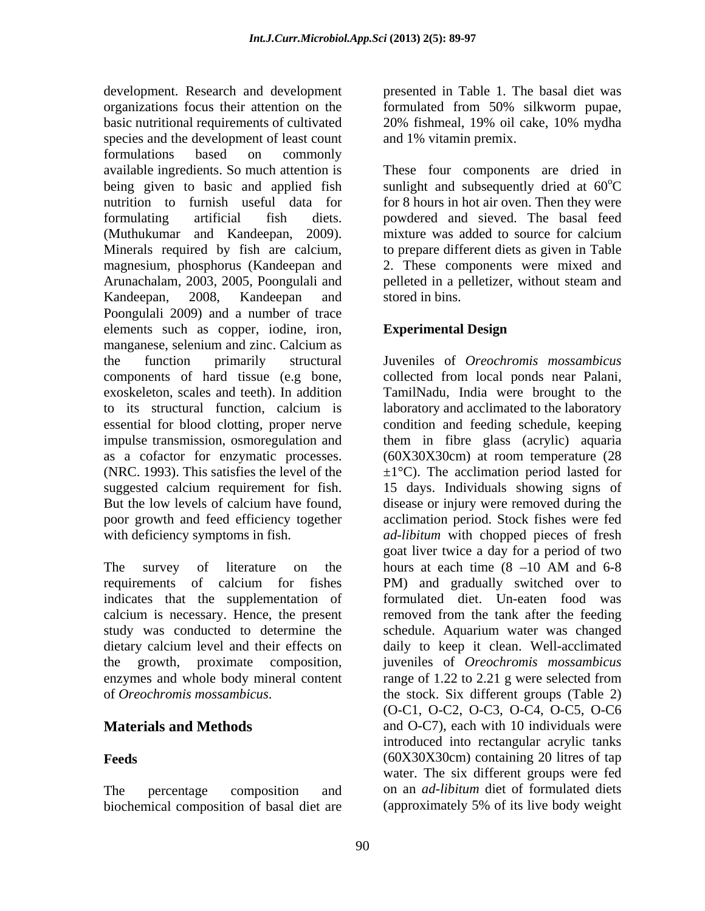development. Research and development presented in Table 1. The basal diet was organizations focus their attention on the formulated from 50% silkworm pupae, basic nutritional requirements of cultivated 20% fishmeal, 19% oil cake, 10% mydha species and the development of least count formulations based on commonly available ingredients. So much attention is These four components are dried in being given to basic and applied fish sunlight and subsequently dried at 60<sup>o</sup>C nutrition to furnish useful data for for 8 hours in hot air oven. Then they were formulating artificial fish diets. powdered and sieved. The basal feed (Muthukumar and Kandeepan, 2009). Minerals required by fish are calcium, to prepare different diets as given in Table magnesium, phosphorus (Kandeepan and 2. These components were mixed and Arunachalam, 2003, 2005, Poongulali and pelleted in a pelletizer, without steam and Kandeepan, 2008, Kandeepan and stored in bins. Poongulali 2009) and a number of trace elements such as copper, iodine, iron, Experimental Design manganese, selenium and zinc. Calcium as the function primarily structural Juveniles of *Oreochromis mossambicus* components of hard tissue (e.g bone, collected from local ponds near Palani, exoskeleton, scales and teeth). In addition TamilNadu, India were brought to the to its structural function, calcium is laboratory and acclimated to the laboratory essential for blood clotting, proper nerve condition and feeding schedule, keeping impulse transmission, osmoregulation and them in fibre glass (acrylic) aquaria as a cofactor for enzymatic processes. (60X30X30cm) at room temperature (28 (NRC. 1993). This satisfies the level of the  $\pm 1^{\circ}$ C). The acclimation period lasted for suggested calcium requirement for fish. 15 days. Individuals showing signs of But the low levels of calcium have found, disease or injury were removed during the poor growth and feed efficiency together acclimation period. Stock fishes were fed

The survey of literature on the hours at each time  $(8 - 10$  AM and  $6 - 8$ indicates that the supplementation of calcium is necessary. Hence, the present

biochemical composition of basal diet are (approximately 5% of its live body weight

formulated from 50% silkworm pupae, 20% fishmeal, 19% oil cake, 10% mydha and 1% vitamin premix.

 $\rm ^{o}C$ mixture was added to source for calcium pelleted in a pelletizer, without steam and stored in bins.

## **Experimental Design**

with deficiency symptoms in fish.  $ad\text{-}libitum$  with chopped pieces of fresh requirements of calcium for fishes PM) and gradually switched over to study was conducted to determine the schedule. Aquarium water was changed dietary calcium level and their effects on daily to keep it clean. Well-acclimated the growth, proximate composition, juveniles of *Oreochromis mossambicus* enzymes and whole body mineral content range of 1.22 to 2.21 g were selected from of *Oreochromis mossambicus*. the stock. Six different groups (Table 2) **Materials and Methods** and O-C7), each with 10 individuals were **Feeds** (60X30X30cm) containing 20 litres of tap The percentage composition and on an *ad-libitum* diet of formulated diets goat liver twice a day for a period of two hours at each time  $(8 -10$  AM and 6-8 formulated diet. Un-eaten food was removed from the tank after the feeding (O-C1, O-C2, O-C3, O-C4, O-C5, O-C6 introduced into rectangular acrylic tanks water. The six different groups were fed (approximately 5% of its live body weight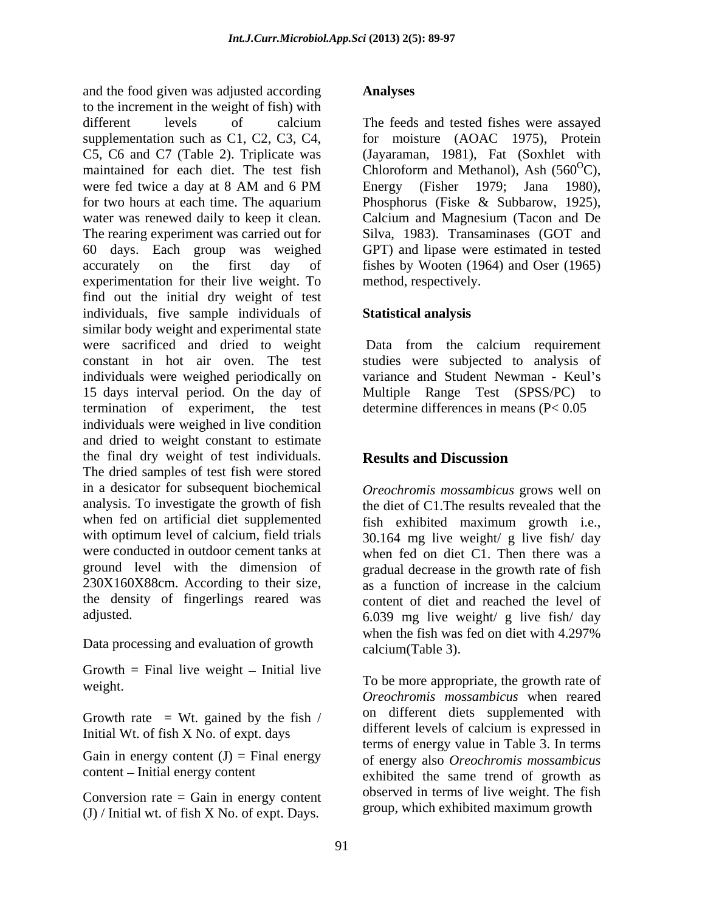and the food given was adjusted according to the increment in the weight of fish) with different levels of calcium The feeds and tested fishes were assayed supplementation such as C1, C2, C3, C4, for moisture (AOAC 1975), Protein C5, C6 and C7 (Table 2). Triplicate was maintained for each diet. The test fish Chloroform and Methanol), Ash  $(560^{\circ}C)$ , were fed twice a day at 8 AM and 6 PM Energy (Fisher 1979; Jana 1980), for two hours at each time. The aquarium Phosphorus (Fiske & Subbarow, 1925), water was renewed daily to keep it clean. Calcium and Magnesium (Tacon and De The rearing experiment was carried out for Silva, 1983). Transaminases (GOT and 60 days. Each group was weighed GPT) and lipase were estimated in tested accurately on the first day of fishes by Wooten (1964) and Oser (1965) experimentation for their live weight. To find out the initial dry weight of test individuals, five sample individuals of similar body weight and experimental state were sacrificed and dried to weight constant in hot air oven. The test studies were subjected to analysis of individuals were weighed periodically on 15 days interval period. On the day of Multiple Range Test (SPSS/PC) to termination of experiment, the test individuals were weighed in live condition and dried to weight constant to estimate the final dry weight of test individuals. **Results and Discussion** The dried samples of test fish were stored in a desicator for subsequent biochemical analysis. To investigate the growth of fish the diet of C1.The results revealed that the when fed on artificial diet supplemented fish exhibited maximum growth i.e., with optimum level of calcium, field trials 30.164 mg live weight/ g live fish/ day were conducted in outdoor cement tanks at when fed on diet C1. Then there was a ground level with the dimension of gradual decrease in the growth rate of fish  $230X160X88cm$ . According to their size,  $\frac{8}{38}$  a function of increase in the calcium the density of fingerlings reared was content of diet and reached the level of and fish from by the statistical according to the statistical method of the statistical method of the statistical method of the case of experimental level is the first Columb Technology of the statistical method of the ca

Growth  $=$  Final live weight  $-$  Initial live

Growth rate = Wt. gained by the fish  $\ell$  on different diets supplemented with<br>Initial W<sub>t</sub> of fish Y No of event days different levels of calcium is expressed in Initial Wt. of fish X No. of expt. days

Gain in energy content  $(J)$  = Final energy

Conversion rate  $=$  Gain in energy content

The feeds and tested fishes were assayed (Jayaraman, 1981), Fat (Soxhlet with Chloroform and Methanol), Ash  $(560^{\circ}C)$ , C), Energy (Fisher 1979; Jana 1980), method, respectively.

## **Statistical analysis**

Data from the calcium requirement variance and Student Newman - Keul's determine differences in means (P< 0.05

# **Results and Discussion**

adjusted. 6.039 mg live weight/ g live fish/ day Data processing and evaluation of growth<br>
colour Table 3) *Oreochromis mossambicus* grows well on as a function of increase in the calcium when the fish was fed on diet with 4.297% calcium(Table 3).

weight. To be more appropriate, the growth rate of content – Initial energy content exhibited the same trend of growth as *Oreochromis mossambicus* when reared on different diets supplemented with different levels of calcium is expressed in terms of energy value in Table 3. In terms of energy also *Oreochromis mossambicus* observed in terms of live weight. The fish group, which exhibited maximum growth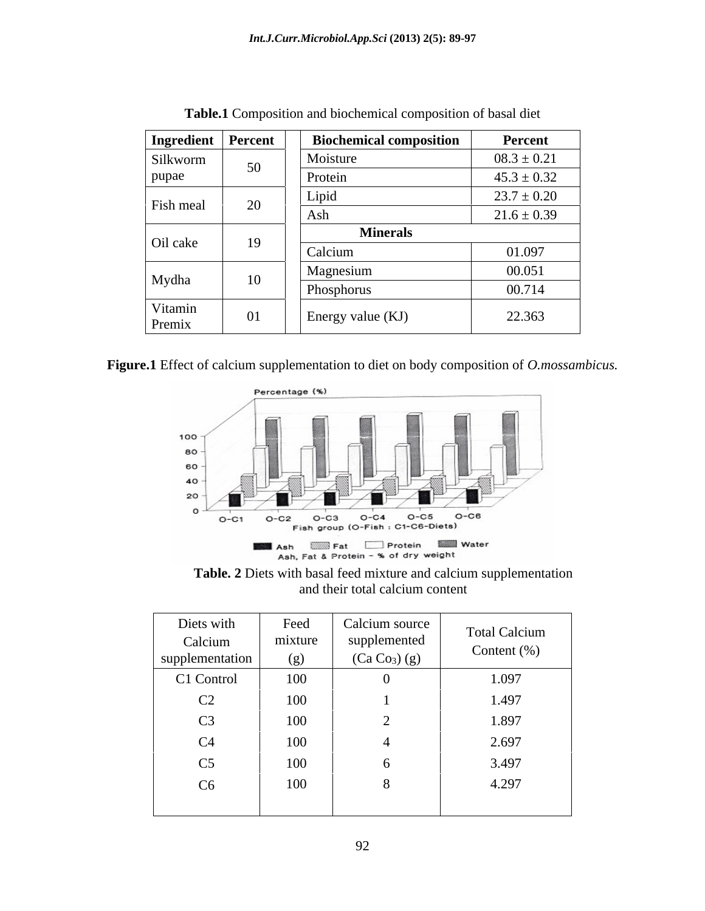| Ingredient   Percent |            | <b>Biochemical composition</b> | Percent         |
|----------------------|------------|--------------------------------|-----------------|
| Silkworm             | 50         | Moisture                       | $08.3 \pm 0.21$ |
| pupae                |            | Protein                        | $45.3 \pm 0.32$ |
| Fish meal            | $\Delta$   | Lipid                          | $23.7 \pm 0.20$ |
|                      | ZU         | Ash                            | $21.6 \pm 0.39$ |
| Oil cake             | 19         | <b>Minerals</b>                |                 |
|                      |            | Calcium                        | 01.097          |
|                      |            | Magnesium                      | 00.051          |
| Mydha                | 10         | Phosphorus                     | 00.714          |
| Vitamin<br>Premix    | $\Omega$ 1 | Energy value (KJ)              | 22.363          |

**Table.1** Composition and biochemical composition of basal diet

**Figure.1** Effect of calcium supplementation to diet on body composition of *O.mossambicus.*



**Table. 2** Diets with basal feed mixture and calcium supplementation and their total calcium content

| Diets with<br>Calcium<br>supplementation | Feed<br>mixture<br>(g) | Calcium source<br>supplemented<br>(Ca Co <sub>3</sub> ) (g) | <b>Total Calcium</b><br>Content $(\%)$ |
|------------------------------------------|------------------------|-------------------------------------------------------------|----------------------------------------|
| C1 Control                               | 100                    | $\mathbf{u}$                                                | 1.097                                  |
| C2                                       | 100                    |                                                             | 1.497                                  |
| $\cap$<br>$\cup$                         | 100                    |                                                             | 1.897                                  |
| C <sub>4</sub>                           | 100                    |                                                             | 2.697                                  |
| C <sub>5</sub>                           | 100                    |                                                             | 3.497                                  |
| C6                                       | 100                    |                                                             | 4.297                                  |
|                                          |                        |                                                             |                                        |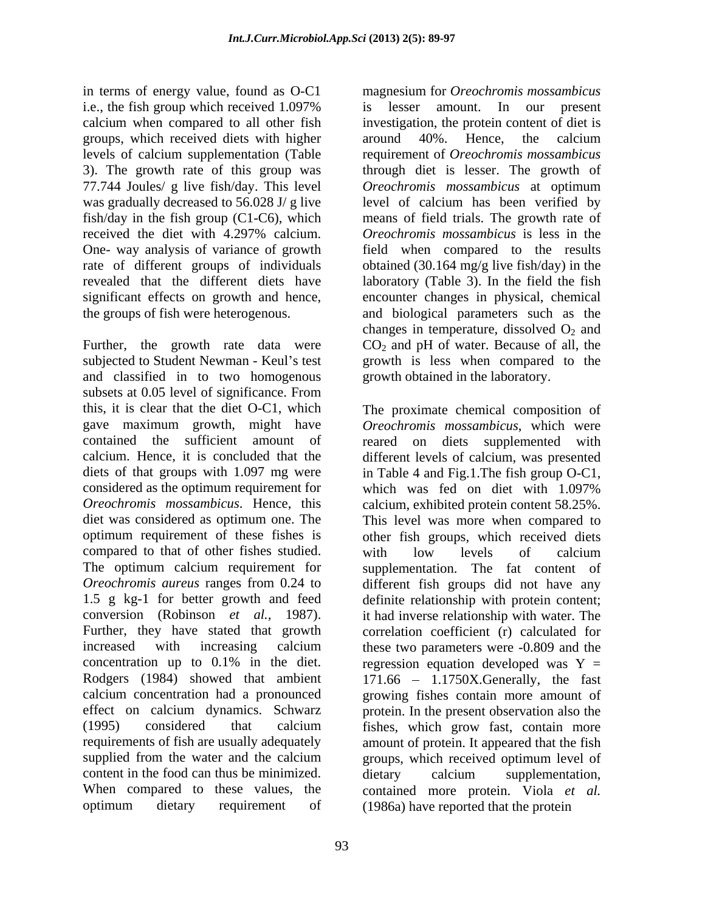in terms of energy value, found as O-C1 i.e., the fish group which received 1.097% is lesser amount. In our present calcium when compared to all other fish investigation, the protein content of diet is groups, which received diets with higher around 40%. Hence, the calcium levels of calcium supplementation (Table 3). The growth rate of this group was through diet is lesser. The growth of 77.744 Joules/ g live fish/day. This level *Oreochromis mossambicus* at optimum was gradually decreased to 56.028 J/ g live level of calcium has been verified by fish/day in the fish group (C1-C6), which means of field trials. The growth rate of received the diet with 4.297% calcium. Oreochromis mossambicus is less in the One- way analysis of variance of growth field when compared to the results rate of different groups of individuals obtained (30.164 mg/g live fish/day) in the revealed that the different diets have laboratory (Table 3). In the field the fish significant effects on growth and hence, encounter changes in physical, chemical the groups of fish were heterogenous. and biological parameters such as the

Further, the growth rate data were  $CO_2$  and pH of water. Because of all, the subjected to Student Newman - Keul's test growth is less when compared to the and classified in to two homogenous subsets at 0.05 level of significance. From this, it is clear that the diet O-C1, which The proximate chemical composition of gave maximum growth, might have *Oreochromis mossambicus*, which were contained the sufficient amount of reared on diets supplemented with calcium. Hence, it is concluded that the different levels of calcium, was presented diets of that groups with 1.097 mg were in Table 4 and Fig.1.The fish group O-C1, considered as the optimum requirement for which was fed on diet with 1.097% *Oreochromis mossambicus*. Hence, this calcium, exhibited protein content 58.25%. diet was considered as optimum one. The This level was more when compared to optimum requirement of these fishes is other fish groups, which received diets compared to that of other fishes studied. with low levels of calcium The optimum calcium requirement for *Oreochromis aureus* ranges from 0.24 to different fish groups did not have any 1.5 g kg-1 for better growth and feed definite relationship with protein content; conversion (Robinson *et al.*, 1987). it had inverse relationship with water. The Further, they have stated that growth correlation coefficient (r) calculated for increased with increasing calcium these two parameters were -0.809 and the concentration up to 0.1% in the diet. regression equation developed was  $Y =$ Rodgers (1984) showed that ambient 171.66 – 1.1750X.Generally, the fast calcium concentration had a pronounced growing fishes contain more amount of effect on calcium dynamics. Schwarz protein. In the present observation also the (1995) considered that calcium fishes, which grow fast, contain more requirements of fish are usually adequately amount of protein. It appeared that the fish supplied from the water and the calcium groups, which received optimum level of content in the food can thus be minimized. dietary calcium supplementation. When compared to these values, the contained more protein. Viola *et al.* optimum dietary requirement of (1986a) have reported that the protein

93

magnesium for *Oreochromis mossambicus* is lesser amount. In our present around 40%. Hence, the calcium requirement of *Oreochromis mossambicus Oreochromis mossambicus* at optimum *Oreochromis mossambicus* is less in the changes in temperature, dissolved  $O_2$  and growth obtained in the laboratory.

which was fed on diet with 1.097% with low levels of calcium supplementation. The fat content of it had inverse relationship with water. The correlation coefficient (r) calculated for dietary calcium supplementation,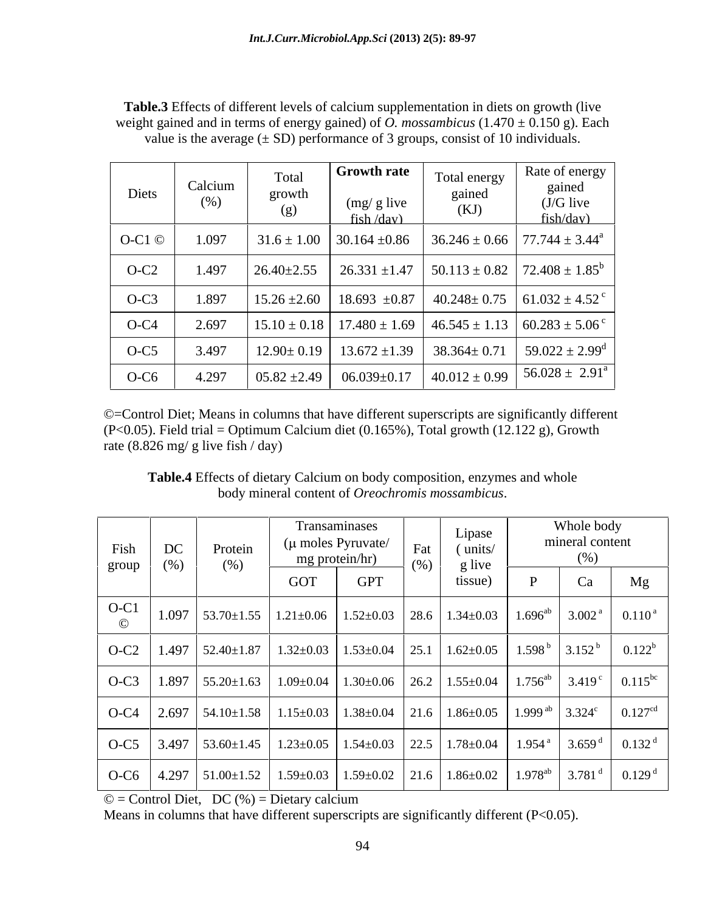| <b>Table.3</b> Effects of different levels of calcium supplementation in diets on growth (live             |  |
|------------------------------------------------------------------------------------------------------------|--|
| weight gained and in terms of energy gained) of <i>O. mossambicus</i> $(1.470 \pm 0.150 \text{ g})$ . Each |  |
| value is the average $(\pm SD)$ performance of 3 groups, consist of 10 individuals.                        |  |

| Diets    | Calcium<br>$(\%)$ | Total<br>growth<br>(g) | <b>Growth rate</b><br>$(mg/g$ live<br>$fish$ /day) | Total energy<br>gained<br>(KJ) | Rate of energy<br>gained<br>$(J/G$ live<br>fish/day)                                      |
|----------|-------------------|------------------------|----------------------------------------------------|--------------------------------|-------------------------------------------------------------------------------------------|
| O-C1 $@$ | 1.097             |                        | $31.6 \pm 1.00$   30.164 $\pm 0.86$                |                                | $36.246 \pm 0.66$ 77.744 $\pm 3.44^{\circ}$                                               |
| $O-C2$   | 1.497             | $26.40 \pm 2.55$       | $26.331 \pm 1.47$                                  |                                | $\vert$ 50.113 ± 0.82 $\vert$ 72.408 ± 1.85 <sup>b</sup>                                  |
| $O-C3$   | 1.897             | $15.26 \pm 2.60$       | $18.693 \pm 0.87$                                  |                                | $40.248 \pm 0.75$   61.032 $\pm 4.52$ <sup>c</sup>                                        |
| $O-C4$   | 2.697             |                        |                                                    |                                | $15.10 \pm 0.18$   17.480 $\pm$ 1.69   46.545 $\pm$ 1.13   60.283 $\pm$ 5.06 <sup>c</sup> |
| $O-C5$   | 3.497             | $12.90 \pm 0.19$       | $13.672 \pm 1.39$                                  | $38.364 \pm 0.71$              | $59.022 \pm 2.99$ <sup>d</sup>                                                            |
| $O-C6$   | 4.297             | $05.82 \pm 2.49$       | $06.039 \pm 0.17$                                  |                                | $40.012 \pm 0.99$   $56.028 \pm 2.91^{\circ}$                                             |

©=Control Diet; Means in columns that have different superscripts are significantly different (P<0.05). Field trial = Optimum Calcium diet (0.165%), Total growth (12.122 g), Growth rate (8.826 mg/ g live fish / day)

**Table.4** Effects of dietary Calcium on body composition, enzymes and whole body mineral content of *Oreochromis mossambicus*.

| Fish<br>group | DC<br>(% ) | Transaminases<br>$(\mu$ moles Pyruvate/<br>Protein<br>mg protein/hr)<br>(% )                                                                 |     |            | $\operatorname*{Fat}% \nolimits_{\mathbb{Z}}\left( \mathbb{Z}^{\Sigma\left( 1\right) }% ,\mathbb{Z}^{\Sigma\left( 2\right) }\right)$<br>(% ) | Lipase<br>(units/<br>g live                                                                | Whole body<br>mineral content |    |                     |
|---------------|------------|----------------------------------------------------------------------------------------------------------------------------------------------|-----|------------|----------------------------------------------------------------------------------------------------------------------------------------------|--------------------------------------------------------------------------------------------|-------------------------------|----|---------------------|
|               |            |                                                                                                                                              | GOT | <b>GPT</b> |                                                                                                                                              | tissue)                                                                                    |                               | Ca | Mg                  |
| $O-C1$        |            | $1.097$   53.70±1.55   1.21±0.06   1.52±0.03   28.6   1.34±0.03   1.696 <sup>ab</sup>   3.002 <sup>a</sup>                                   |     |            |                                                                                                                                              |                                                                                            |                               |    | $0.110^{a}$         |
|               |            | O-C2   1.497   52.40±1.87   1.32±0.03   1.53±0.04   25.1   1.62±0.05   1.598 <sup>b</sup>   3.152 <sup>b</sup>                               |     |            |                                                                                                                                              |                                                                                            |                               |    | $0.122^b$           |
| $O-C3$        |            | $1.897$ 55.20 $\pm$ 1.63                                                                                                                     |     |            |                                                                                                                                              | $1.09\pm0.04$   $1.30\pm0.06$   $26.2$   $1.55\pm0.04$   $1.756^{ab}$   $3.419^{c}$        |                               |    | 0.115 <sup>bc</sup> |
|               |            | $\vert$ O-C4 $\vert$ 2.697 $\vert$ 54.10±1.58 $\vert$                                                                                        |     |            |                                                                                                                                              | $1.15\pm0.03$   $1.38\pm0.04$   $21.6$   $1.86\pm0.05$   $1.999$ <sup>ab</sup>   $3.324^c$ |                               |    | 0.127 <sup>cd</sup> |
|               |            | O-C5   3.497   53.60±1.45   1.23±0.05   1.54±0.03   22.5   1.78±0.04   1.954 <sup>a</sup>   3.659 <sup>d</sup>   0.132 <sup>d</sup>          |     |            |                                                                                                                                              |                                                                                            |                               |    |                     |
|               |            | $O\text{-C6}$   $4.297$   $51.00\pm1.52$   $1.59\pm0.03$   $1.59\pm0.02$   $21.6$   $1.86\pm0.02$   $1.978^{ab}$   $3.781^{d}$   $0.129^{d}$ |     |            |                                                                                                                                              |                                                                                            |                               |    |                     |

 $\odot$  = Control Diet, DC (%) = Dietary calcium

Means in columns that have different superscripts are significantly different (P<0.05).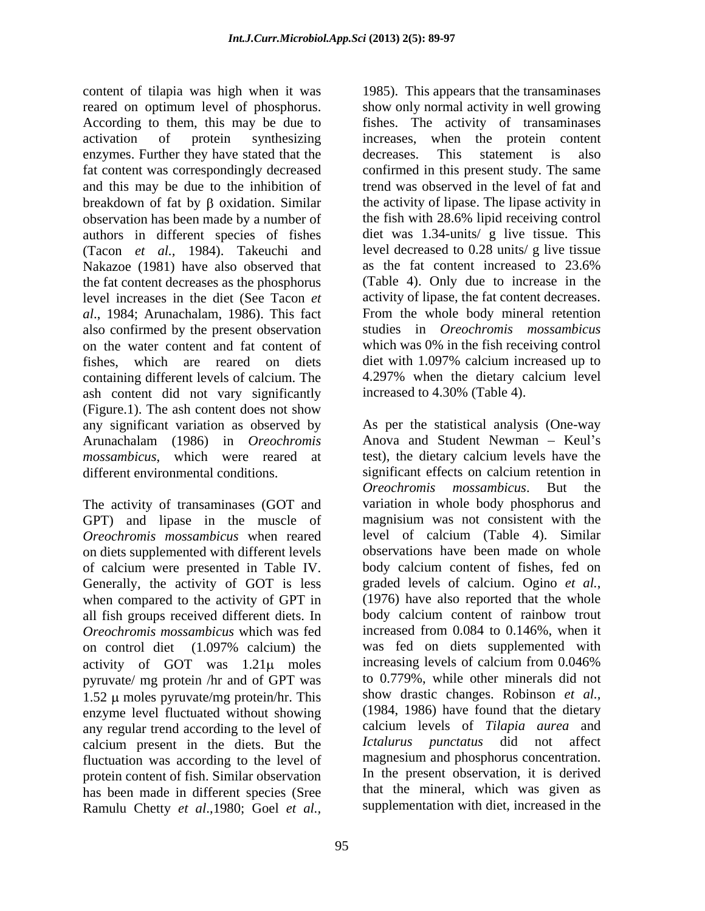content of tilapia was high when it was 1985). This appears that the transaminases reared on optimum level of phosphorus. Show only normal activity in well growing According to them, this may be due to fishes. The activity of transaminases activation of protein synthesizing increases, when the protein content enzymes. Further they have stated that the decreases. This statement is also fat content was correspondingly decreased confirmed in this present study. The same and this may be due to the inhibition of trend was observed in the level of fat and breakdown of fat by  $\beta$  oxidation. Similar the activity of lipase. The lipase activity in observation has been made by a number of authors in different species of fishes diet was 1.34-units/ g live tissue. This (Tacon *et al.*, 1984). Takeuchi and level decreased to 0.28 units/g live tissue<br>Nakazoe (1981) have also observed that as the fat content increased to 23.6% Nakazoe (1981) have also observed that the fat content decreases as the phosphorus level increases in the diet (See Tacon *et*  activity of lipase, the fat content decreases. *al*., 1984; Arunachalam, 1986). This fact also confirmed by the present observation studies in *Oreochromis mossambicus* on the water content and fat content of which was 0% in the fish receiving control fishes, which are reared on diets diet with 1.097% calcium increased up to containing different levels of calcium. The ash content did not vary significantly (Figure.1). The ash content does not show<br>any significant variation as observed by any significant variation as observed by As per the statistical analysis (One-way Arunachalam (1986) in *Oreochromis mossambicus*, which were reared at test), the dietary calcium levels have the different environmental conditions. significant effects on calcium retention in

The activity of transaminases (GOT and GPT) and lipase in the muscle of on diets supplemented with different levels of calcium were presented in Table IV. body calcium content of fishes, fed on Generally, the activity of GOT is less graded levels of calcium. Ogino *et al.*, Generally, the activity of GOT is less when compared to the activity of GPT in (1976) have also reported that the whole all fish groups received different diets. In body calcium content of rainbow trout *Oreochromis mossambicus* which was fed increased from 0.084 to 0.146%, when it *Oreochromis mossambicus* which was fed activity of GOT was  $1.21\mu$  moles increasing levels of calcium from 0.046% pyruvate/ mg protein /hr and of GPT was  $1.52 \mu$  moles pyruvate/mg protein/hr. This enzyme level fluctuated without showing any regular trend according to the level of calcium present in the diets. But the fluctuation was according to the level of protein content of fish. Similar observation has been made in different species (Sree Ramulu Chetty *et al*.,1980; Goel *et al.,*

95

decreases. This statement is also the fish with 28.6% lipid receiving control level decreased to 0.28 units/ g live tissue as the fat content increased to 23.6% (Table 4). Only due to increase in the From the whole body mineral retention 4.297% when the dietary calcium level increased to 4.30% (Table 4).

*Oreochromis mossambicus* when reared level of calcium (Table 4). Similar on control diet (1.097% calcium) the Anova and Student Newman  $-$  Keul's *Oreochromis mossambicus*. But the variation in whole body phosphorus and magnisium was not consistent with the observations have been made on whole body calcium content of fishes, fed on graded levels of calcium. Ogino *et al.*, (1976) have also reported that the whole body calcium content of rainbow trout increased from 0.084 to 0.146%, when it was fed on diets supplemented with increasing levels of calcium from 0.046% to 0.779%, while other minerals did not show drastic changes. Robinson *et al.,* (1984, 1986) have found that the dietary calcium levels of *Tilapia aurea* and *Ictalurus punctatus* did not affect magnesium and phosphorus concentration. In the present observation, it is derived that the mineral, which was given as supplementation with diet, increased in the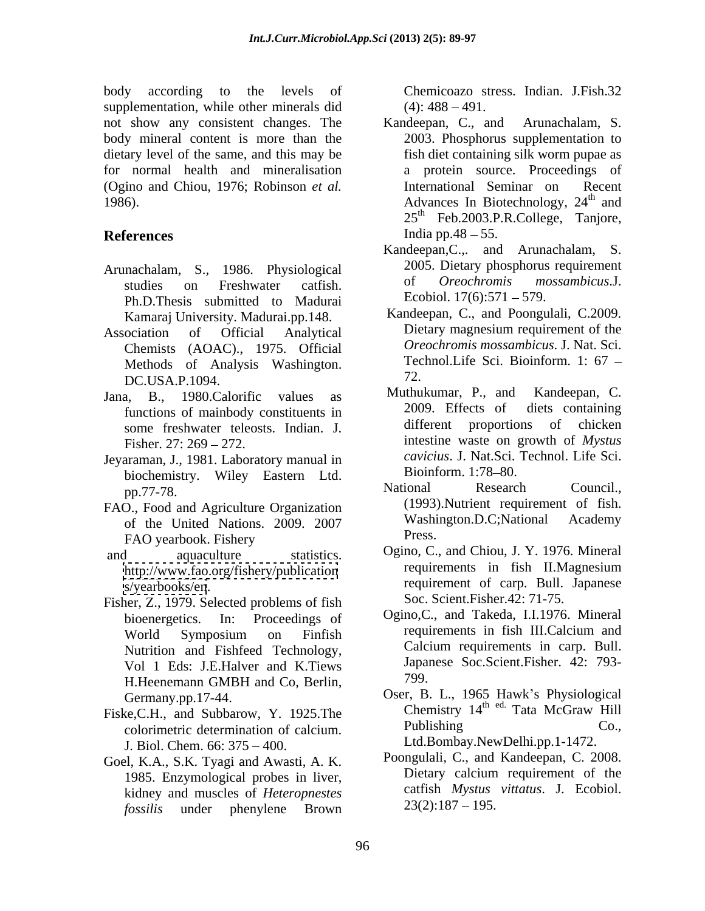body according to the levels of Chemicoazo stress. Indian. J.Fish.32 supplementation, while other minerals did  $(4)$ :  $488 - 491$ . not show any consistent changes. The Kandeepan, C., and Arunachalam, S. body mineral content is more than the dietary level of the same, and this may be for normal health and mineralisation (Ogino and Chiou, 1976; Robinson *et al.*

- Arunachalam, S., 1986. Physiological 2005. Dietary phosphorus requirement<br>
ctudies on Freshweter estrich of *Oreochromis mossambicus*.J. Ph.D.Thesis submitted to Madurai Kamaraj University. Madurai.pp.148.
- Methods of Analysis Washington. The<br>DC USA B 1004
- Jana, B., 1980.Calorific values as Muthukumar, P., and Kandeepan, C.<br>functions of mainbody constituents in 2009. Effects of diets containing some freshwater teleosts. Indian. J.
- Jeyaraman, J., 1981. Laboratory manual in *cavicius*. J. Nat.Sci.<br>
biochamistry Wilsy. Fastern Ltd. Bioinform. 1:78–80. biochemistry. Wiley Eastern Ltd. BIOInform. 1:78–80.<br>National Research Council..
- FAO., Food and Agriculture Organization (1993). Nutrient requirement of fish.<br>
of the United Nations 2009 2007 Washington.D.C; National Academy of the United Nations. 2009. 2007 Washington Washington Press. FAO yearbook. Fishery **Figure 2018** Press.
- 
- Fisher, Z., 1979. Selected problems of fish Vol 1 Eds: J.E.Halver and K.Tiews <sup>Japan</sup><br>H Hoopemann GMBH and Co. Berlin 1997 H.Heenemann GMBH and Co, Berlin,
- Fiske, C.H., and Subbarow, Y. 1925. The Chemistry 14 1 at a McGraw Hill Colorimetric determination of calcium Publishing Co. colorimetric determination of calcium. J. Biol. Chem. 66: 375 – 400.
- Goel, K.A., S.K. Tyagi and Awasti, A. K. Poongulal Post and Kandeepan, C. 2008.<br>1985 Enzymological probes in liver Dietary calcium requirement of the 1985. Enzymological probes in liver, kidney and muscles of *Heteropnestes fossilis* under phenylene Brown

 $(4): 488 - 491.$ 

- 1986). Advances In Biotechnology, 24<sup>th</sup> and **References** India pp.48 – 55. Kandeepan, C., and 2003. Phosphorus supplementation to fish diet containing silk worm pupae as a protein source. Proceedings of International Seminar on  $th$  and and  $25<sup>th</sup>$  Feb.2003.P.R.College, Tanjore, India pp. $48 - 55$ .
	- studies on Freshwater catfish. Of *Oreochromis mossambicus.* J. Kandeepan,C.,. and Arunachalam, S. 2005. Dietary phosphorus requirement of *Oreochromis mossambicus*.J. Ecobiol.  $17(6):571 - 579$ .
- Association of Official Analytical Dietary magnesium requirement of the Chemists (AOAC)., 1975. Official *Oreochromis mossambicus*. J. Nat. Sci.<br>Methods of Analysis Washington Technol. Life Sci. Bioinform. 1: 67 – Kandeepan, C., and Poongulali, C.2009. *Oreochromis mossambicus*. J. Nat. Sci. Technol.Life Sci. Bioinform. 1: <sup>67</sup> 72.
	- DC.USA.P.1094.<br>a B 1980 Calorific values as Muthukumar, P., and Kandeepan, C. functions of mainbody constituents in 2009. Effects of diets containing<br>some freshwater teleosis Indian I different proportions of chicken Fisher. 27: 269 – 272. **intestine waste on growth of** *Mystus* Muthukumar, P., and 2009. Effects of diets containing different proportions of chicken *cavicius*. J. Nat.Sci. Technol. Life Sci. Bioinform. 1:78–80.
	- pp.77-78. National Research Council., National Research Council., (1993).Nutrient requirement of fish. Washington.D.C;National Academy Press.
- and aquaculture statistics. Ogino, C., and Chiou, J. Y. 1976. Mineral <http://www.fao.org/fishery/publication> requirements in fish II.Magnesium <s/yearbooks/en>. Figure 1.1 and the requirement of carp. Bull. Japanese requirements in fish II.Magnesium Soc. Scient.Fisher.42: 71-75.
	- bioenergetics. In: Proceedings of Ogino,C., and Takeda, I.I.1976. Mineral World Symposium on Finfish Nutrition and Fishfeed Technology, Calcium requirements in carp. Bull. requirements in fish III.Calcium and Calcium requirements in carp. Bull. Japanese Soc.Scient.Fisher. 42: 793- 799.
	- Germany.pp.17-44. Oser, B. L., 1965 Hawk's Physiological Chemistry 14<sup>th ed.</sup> Tata McGraw Hill Publishing Co., Ltd.Bombay.NewDelhi.pp.1-1472.
		- Poongulali, C., and Kandeepan, C. 2008. Dietary calcium requirement of the catfish *Mystus vittatus*. J. Ecobiol.  $23(2):187 - 195.$